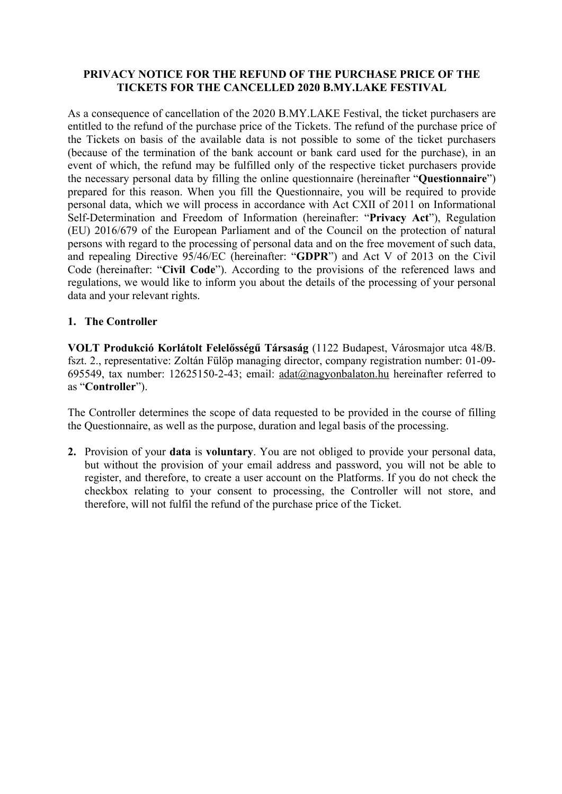#### **PRIVACY NOTICE FOR THE REFUND OF THE PURCHASE PRICE OF THE TICKETS FOR THE CANCELLED 2020 B.MY.LAKE FESTIVAL**

As a consequence of cancellation of the 2020 B.MY.LAKE Festival, the ticket purchasers are entitled to the refund of the purchase price of the Tickets. The refund of the purchase price of the Tickets on basis of the available data is not possible to some of the ticket purchasers (because of the termination of the bank account or bank card used for the purchase), in an event of which, the refund may be fulfilled only of the respective ticket purchasers provide the necessary personal data by filling the online questionnaire (hereinafter "**Questionnaire**") prepared for this reason. When you fill the Questionnaire, you will be required to provide personal data, which we will process in accordance with Act CXII of 2011 on Informational Self-Determination and Freedom of Information (hereinafter: "**Privacy Act**"), Regulation (EU) 2016/679 of the European Parliament and of the Council on the protection of natural persons with regard to the processing of personal data and on the free movement of such data, and repealing Directive 95/46/EC (hereinafter: "**GDPR**") and Act V of 2013 on the Civil Code (hereinafter: "**Civil Code**"). According to the provisions of the referenced laws and regulations, we would like to inform you about the details of the processing of your personal data and your relevant rights.

# **1. The Controller**

**VOLT Produkció Korlátolt Felelősségű Társaság** (1122 Budapest, Városmajor utca 48/B. fszt. 2., representative: Zoltán Fülöp managing director, company registration number: 01-09- 695549, tax number: 12625150-2-43; email: adat@nagyonbalaton.hu hereinafter referred to as "**Controller**").

The Controller determines the scope of data requested to be provided in the course of filling the Questionnaire, as well as the purpose, duration and legal basis of the processing.

**2.** Provision of your **data** is **voluntary**. You are not obliged to provide your personal data, but without the provision of your email address and password, you will not be able to register, and therefore, to create a user account on the Platforms. If you do not check the checkbox relating to your consent to processing, the Controller will not store, and therefore, will not fulfil the refund of the purchase price of the Ticket.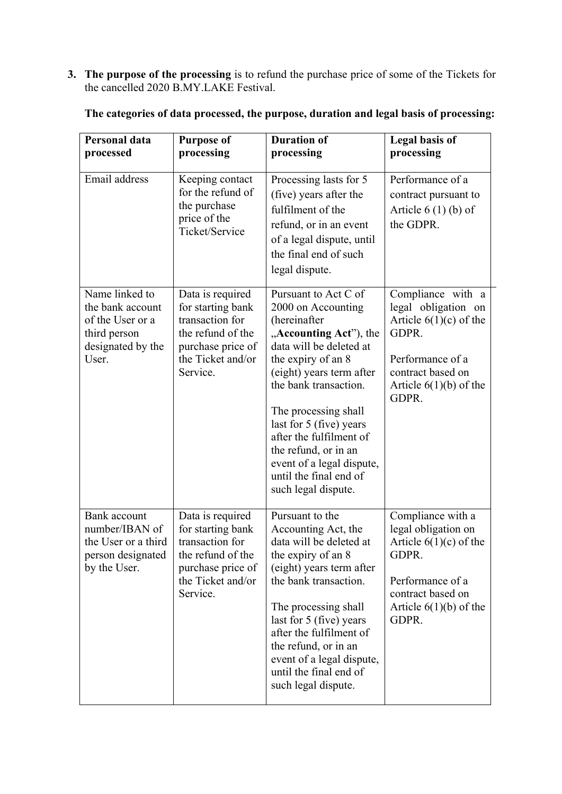**3. The purpose of the processing** is to refund the purchase price of some of the Tickets for the cancelled 2020 B.MY.LAKE Festival.

| Personal data<br>processed                                                                           | <b>Purpose of</b><br>processing                                                                                                     | <b>Duration of</b><br>processing                                                                                                                                                                                                                                                                                                                                               | <b>Legal basis of</b><br>processing                                                                                                                         |
|------------------------------------------------------------------------------------------------------|-------------------------------------------------------------------------------------------------------------------------------------|--------------------------------------------------------------------------------------------------------------------------------------------------------------------------------------------------------------------------------------------------------------------------------------------------------------------------------------------------------------------------------|-------------------------------------------------------------------------------------------------------------------------------------------------------------|
| Email address                                                                                        | Keeping contact<br>for the refund of<br>the purchase<br>price of the<br>Ticket/Service                                              | Processing lasts for 5<br>(five) years after the<br>fulfilment of the<br>refund, or in an event<br>of a legal dispute, until<br>the final end of such<br>legal dispute.                                                                                                                                                                                                        | Performance of a<br>contract pursuant to<br>Article $6(1)(b)$ of<br>the GDPR.                                                                               |
| Name linked to<br>the bank account<br>of the User or a<br>third person<br>designated by the<br>User. | Data is required<br>for starting bank<br>transaction for<br>the refund of the<br>purchase price of<br>the Ticket and/or<br>Service. | Pursuant to Act C of<br>2000 on Accounting<br>(hereinafter<br>"Accounting Act"), the<br>data will be deleted at<br>the expiry of an 8<br>(eight) years term after<br>the bank transaction.<br>The processing shall<br>last for 5 (five) years<br>after the fulfilment of<br>the refund, or in an<br>event of a legal dispute,<br>until the final end of<br>such legal dispute. | Compliance with a<br>legal obligation on<br>Article $6(1)(c)$ of the<br>GDPR.<br>Performance of a<br>contract based on<br>Article $6(1)(b)$ of the<br>GDPR. |
| Bank account<br>number/IBAN of<br>the User or a third<br>person designated<br>by the User.           | Data is required<br>for starting bank<br>transaction for<br>the refund of the<br>purchase price of<br>the Ticket and/or<br>Service. | Pursuant to the<br>Accounting Act, the<br>data will be deleted at<br>the expiry of an 8<br>(eight) years term after<br>the bank transaction.<br>The processing shall<br>last for 5 (five) years<br>after the fulfilment of<br>the refund, or in an<br>event of a legal dispute,<br>until the final end of<br>such legal dispute.                                               | Compliance with a<br>legal obligation on<br>Article $6(1)(c)$ of the<br>GDPR.<br>Performance of a<br>contract based on<br>Article $6(1)(b)$ of the<br>GDPR. |

**The categories of data processed, the purpose, duration and legal basis of processing:**